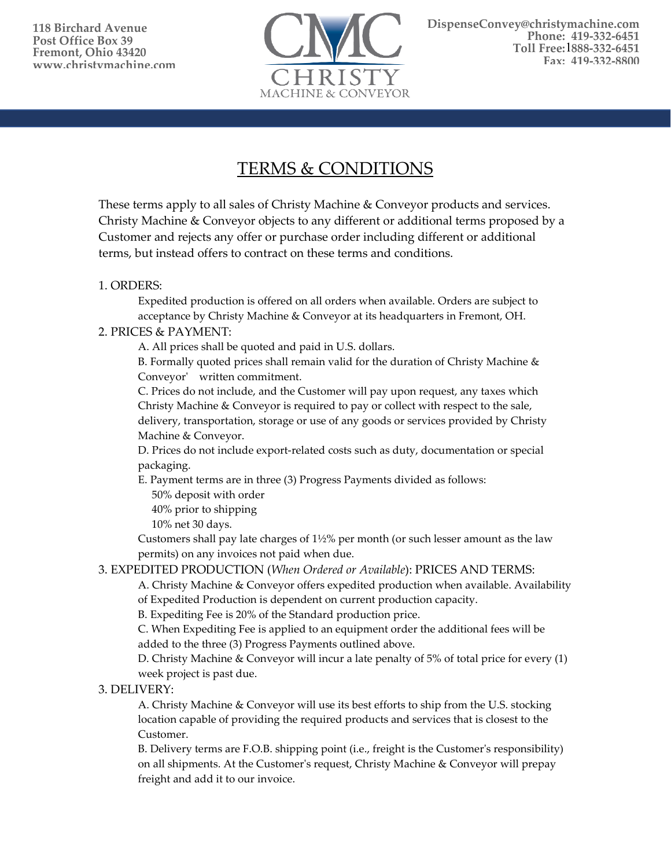

# TERMS & CONDITIONS

These terms apply to all sales of Christy Machine & Conveyor products and services. Christy Machine & Conveyor objects to any different or additional terms proposed by a Customer and rejects any offer or purchase order including different or additional terms, but instead offers to contract on these terms and conditions.

# 1. ORDERS:

Expedited production is offered on all orders when available. Orders are subject to acceptance by Christy Machine & Conveyor at its headquarters in Fremont, OH.

# 2. PRICES & PAYMENT:

A. All prices shall be quoted and paid in U.S. dollars.

B. Formally quoted prices shall remain valid for the duration of Christy Machine  $\&$ Conveyor' written commitment.

C. Prices do not include, and the Customer will pay upon request, any taxes which Christy Machine & Conveyor is required to pay or collect with respect to the sale, delivery, transportation, storage or use of any goods or services provided by Christy Machine & Conveyor.

D. Prices do not include export-related costs such as duty, documentation or special packaging.

E. Payment terms are in three (3) Progress Payments divided as follows:

50% deposit with order

40% prior to shipping

10% net 30 days.

Customers shall pay late charges of  $1\frac{1}{2}\%$  per month (or such lesser amount as the law permits) on any invoices not paid when due.

# 3. EXPEDITED PRODUCTION (*When Ordered or Available*): PRICES AND TERMS:

A. Christy Machine & Conveyor offers expedited production when available. Availability of Expedited Production is dependent on current production capacity.

B. Expediting Fee is 20% of the Standard production price.

C. When Expediting Fee is applied to an equipment order the additional fees will be added to the three (3) Progress Payments outlined above.

D. Christy Machine & Conveyor will incur a late penalty of 5% of total price for every (1) week project is past due.

# 3. DELIVERY:

A. Christy Machine & Conveyor will use its best efforts to ship from the U.S. stocking location capable of providing the required products and services that is closest to the Customer.

B. Delivery terms are F.O.B. shipping point (i.e., freight is the Customer's responsibility) on all shipments. At the Customer's request, Christy Machine & Conveyor will prepay freight and add it to our invoice.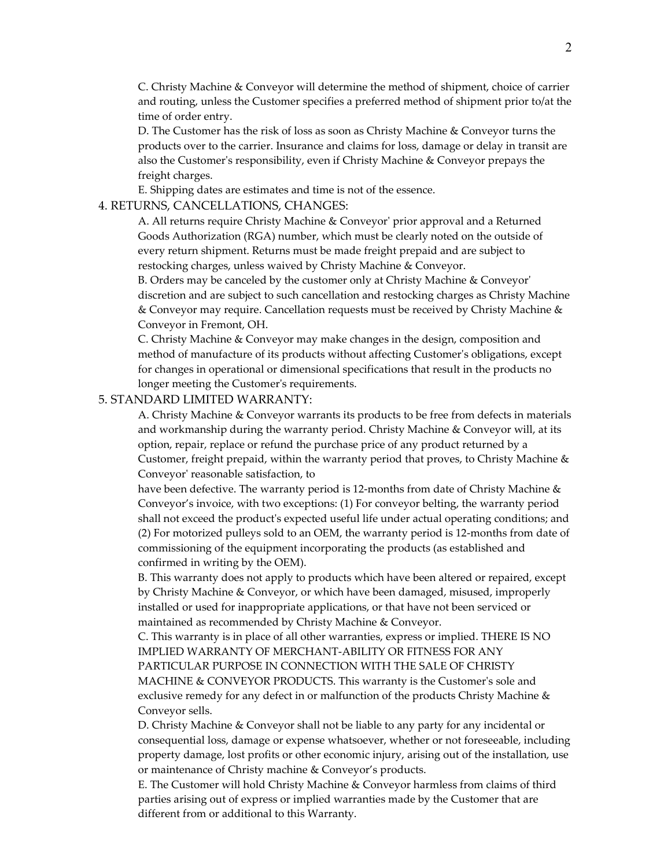C. Christy Machine & Conveyor will determine the method of shipment, choice of carrier and routing, unless the Customer specifies a preferred method of shipment prior to/at the time of order entry.

D. The Customer has the risk of loss as soon as Christy Machine & Conveyor turns the products over to the carrier. Insurance and claims for loss, damage or delay in transit are also the Customer's responsibility, even if Christy Machine & Conveyor prepays the freight charges.

E. Shipping dates are estimates and time is not of the essence.

#### 4. RETURNS, CANCELLATIONS, CHANGES:

A. All returns require Christy Machine & Conveyor' prior approval and a Returned Goods Authorization (RGA) number, which must be clearly noted on the outside of every return shipment. Returns must be made freight prepaid and are subject to restocking charges, unless waived by Christy Machine & Conveyor.

B. Orders may be canceled by the customer only at Christy Machine & Conveyor' discretion and are subject to such cancellation and restocking charges as Christy Machine & Conveyor may require. Cancellation requests must be received by Christy Machine & Conveyor in Fremont, OH.

C. Christy Machine & Conveyor may make changes in the design, composition and method of manufacture of its products without affecting Customer's obligations, except for changes in operational or dimensional specifications that result in the products no longer meeting the Customer's requirements.

### 5. STANDARD LIMITED WARRANTY:

A. Christy Machine & Conveyor warrants its products to be free from defects in materials and workmanship during the warranty period. Christy Machine & Conveyor will, at its option, repair, replace or refund the purchase price of any product returned by a Customer, freight prepaid, within the warranty period that proves, to Christy Machine & Conveyor' reasonable satisfaction, to

have been defective. The warranty period is 12-months from date of Christy Machine & Conveyor's invoice, with two exceptions: (1) For conveyor belting, the warranty period shall not exceed the product's expected useful life under actual operating conditions; and (2) For motorized pulleys sold to an OEM, the warranty period is 12-months from date of commissioning of the equipment incorporating the products (as established and confirmed in writing by the OEM).

B. This warranty does not apply to products which have been altered or repaired, except by Christy Machine & Conveyor, or which have been damaged, misused, improperly installed or used for inappropriate applications, or that have not been serviced or maintained as recommended by Christy Machine & Conveyor.

C. This warranty is in place of all other warranties, express or implied. THERE IS NO IMPLIED WARRANTY OF MERCHANT-ABILITY OR FITNESS FOR ANY PARTICULAR PURPOSE IN CONNECTION WITH THE SALE OF CHRISTY MACHINE & CONVEYOR PRODUCTS. This warranty is the Customer's sole and exclusive remedy for any defect in or malfunction of the products Christy Machine & Conveyor sells.

D. Christy Machine & Conveyor shall not be liable to any party for any incidental or consequential loss, damage or expense whatsoever, whether or not foreseeable, including property damage, lost profits or other economic injury, arising out of the installation, use or maintenance of Christy machine & Conveyor's products.

E. The Customer will hold Christy Machine & Conveyor harmless from claims of third parties arising out of express or implied warranties made by the Customer that are different from or additional to this Warranty.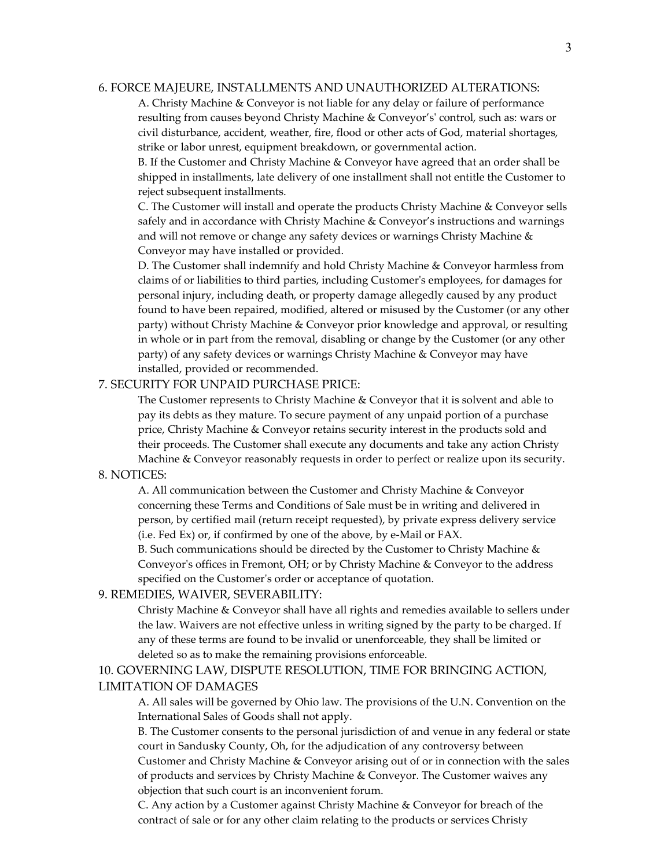#### 6. FORCE MAJEURE, INSTALLMENTS AND UNAUTHORIZED ALTERATIONS:

A. Christy Machine & Conveyor is not liable for any delay or failure of performance resulting from causes beyond Christy Machine & Conveyor's' control, such as: wars or civil disturbance, accident, weather, fire, flood or other acts of God, material shortages, strike or labor unrest, equipment breakdown, or governmental action.

B. If the Customer and Christy Machine & Conveyor have agreed that an order shall be shipped in installments, late delivery of one installment shall not entitle the Customer to reject subsequent installments.

C. The Customer will install and operate the products Christy Machine & Conveyor sells safely and in accordance with Christy Machine & Conveyor's instructions and warnings and will not remove or change any safety devices or warnings Christy Machine & Conveyor may have installed or provided.

D. The Customer shall indemnify and hold Christy Machine & Conveyor harmless from claims of or liabilities to third parties, including Customer's employees, for damages for personal injury, including death, or property damage allegedly caused by any product found to have been repaired, modified, altered or misused by the Customer (or any other party) without Christy Machine & Conveyor prior knowledge and approval, or resulting in whole or in part from the removal, disabling or change by the Customer (or any other party) of any safety devices or warnings Christy Machine & Conveyor may have installed, provided or recommended.

## 7. SECURITY FOR UNPAID PURCHASE PRICE:

The Customer represents to Christy Machine & Conveyor that it is solvent and able to pay its debts as they mature. To secure payment of any unpaid portion of a purchase price, Christy Machine & Conveyor retains security interest in the products sold and their proceeds. The Customer shall execute any documents and take any action Christy Machine & Conveyor reasonably requests in order to perfect or realize upon its security.

#### 8. NOTICES:

A. All communication between the Customer and Christy Machine & Conveyor concerning these Terms and Conditions of Sale must be in writing and delivered in person, by certified mail (return receipt requested), by private express delivery service (i.e. Fed Ex) or, if confirmed by one of the above, by e-Mail or FAX.

B. Such communications should be directed by the Customer to Christy Machine & Conveyor's offices in Fremont, OH; or by Christy Machine & Conveyor to the address specified on the Customer's order or acceptance of quotation.

## 9. REMEDIES, WAIVER, SEVERABILITY:

Christy Machine & Conveyor shall have all rights and remedies available to sellers under the law. Waivers are not effective unless in writing signed by the party to be charged. If any of these terms are found to be invalid or unenforceable, they shall be limited or deleted so as to make the remaining provisions enforceable.

# 10. GOVERNING LAW, DISPUTE RESOLUTION, TIME FOR BRINGING ACTION, LIMITATION OF DAMAGES

A. All sales will be governed by Ohio law. The provisions of the U.N. Convention on the International Sales of Goods shall not apply.

B. The Customer consents to the personal jurisdiction of and venue in any federal or state court in Sandusky County, Oh, for the adjudication of any controversy between Customer and Christy Machine & Conveyor arising out of or in connection with the sales of products and services by Christy Machine & Conveyor. The Customer waives any objection that such court is an inconvenient forum.

C. Any action by a Customer against Christy Machine & Conveyor for breach of the contract of sale or for any other claim relating to the products or services Christy